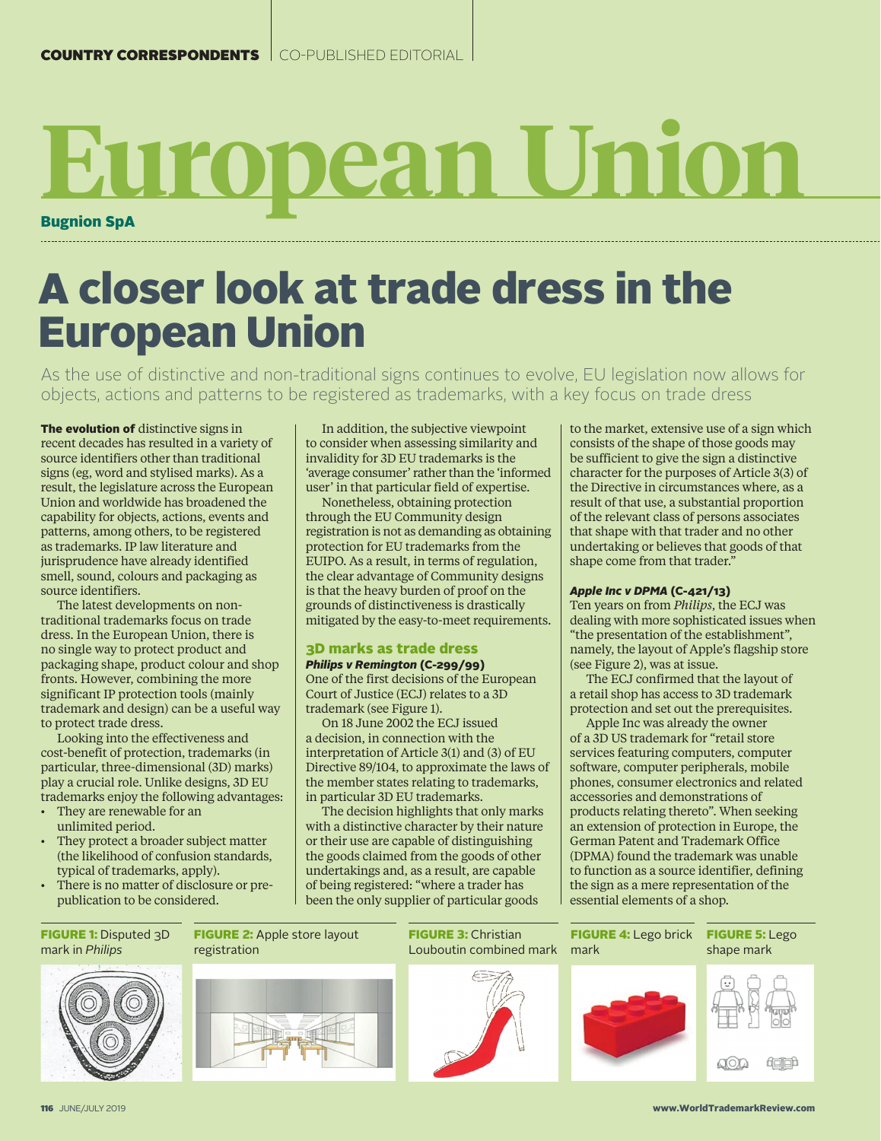# Bugnion SpA **European Union**

# A closer look at trade dress in the European Union

As the use of distinctive and non-traditional signs continues to evolve, EU legislation now allows for objects, actions and patterns to be registered as trademarks, with a key focus on trade dress

The evolution of distinctive signs in recent decades has resulted in a variety of source identifiers other than traditional signs (eg, word and stylised marks). As a result, the legislature across the European Union and worldwide has broadened the capability for objects, actions, events and patterns, among others, to be registered as trademarks. IP law literature and jurisprudence have already identified smell, sound, colours and packaging as source identifiers.

The latest developments on nontraditional trademarks focus on trade dress. In the European Union, there is no single way to protect product and packaging shape, product colour and shop fronts. However, combining the more significant IP protection tools (mainly trademark and design) can be a useful way to protect trade dress.

Looking into the effectiveness and cost-benefit of protection, trademarks (in particular, three-dimensional (3D) marks) play a crucial role. Unlike designs, 3D EU trademarks enjoy the following advantages:

- They are renewable for an unlimited period.
- They protect a broader subject matter (the likelihood of confusion standards, typical of trademarks, apply).
- There is no matter of disclosure or prepublication to be considered.

In addition, the subjective viewpoint to consider when assessing similarity and invalidity for 3D EU trademarks is the 'average consumer' rather than the 'informed user' in that particular field of expertise.

Nonetheless, obtaining protection through the EU Community design registration is not as demanding as obtaining protection for EU trademarks from the EUIPO. As a result, in terms of regulation, the clear advantage of Community designs is that the heavy burden of proof on the grounds of distinctiveness is drastically mitigated by the easy-to-meet requirements.

## 3D marks as trade dress

*Philips v Remington* (C-299/99) One of the first decisions of the European Court of Justice (ECJ) relates to a 3D trademark (see Figure 1).

On 18 June 2002 the ECJ issued a decision, in connection with the interpretation of Article 3(1) and (3) of EU Directive 89/104, to approximate the laws of the member states relating to trademarks, in particular 3D EU trademarks.

The decision highlights that only marks with a distinctive character by their nature or their use are capable of distinguishing the goods claimed from the goods of other undertakings and, as a result, are capable of being registered: "where a trader has been the only supplier of particular goods

to the market, extensive use of a sign which consists of the shape of those goods may be sufficient to give the sign a distinctive character for the purposes of Article 3(3) of the Directive in circumstances where, as a result of that use, a substantial proportion of the relevant class of persons associates that shape with that trader and no other undertaking or believes that goods of that shape come from that trader."

#### *Apple Inc v DPMA* (C-421/13)

Ten years on from *Philips*, the ECJ was dealing with more sophisticated issues when "the presentation of the establishment", namely, the layout of Apple's flagship store (see Figure 2), was at issue.

The ECJ confirmed that the layout of a retail shop has access to 3D trademark protection and set out the prerequisites.

Apple Inc was already the owner of a 3D US trademark for "retail store services featuring computers, computer software, computer peripherals, mobile phones, consumer electronics and related accessories and demonstrations of products relating thereto". When seeking an extension of protection in Europe, the German Patent and Trademark Office (DPMA) found the trademark was unable to function as a source identifier, defining the sign as a mere representation of the essential elements of a shop.

#### FIGURE 1: Disputed 3D mark in *Philips*

FIGURE 2: Apple store layout registration





FIGURE 4: Lego brick FIGURE 5: Lego shape mark